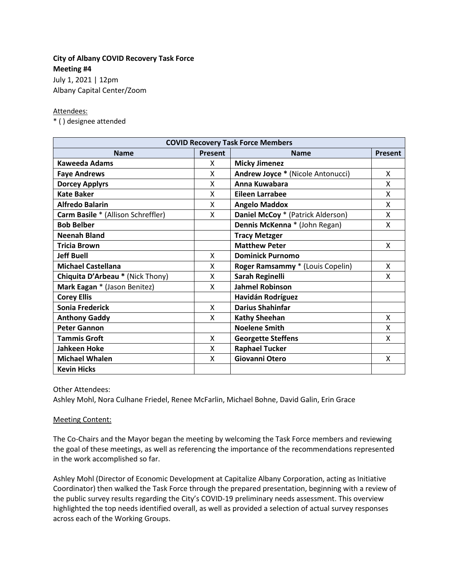## **City of Albany COVID Recovery Task Force Meeting #4**

July 1, 2021 | 12pm Albany Capital Center/Zoom

### Attendees:

\* ( ) designee attended

| <b>COVID Recovery Task Force Members</b> |         |                                   |                |
|------------------------------------------|---------|-----------------------------------|----------------|
| <b>Name</b>                              | Present | <b>Name</b>                       | <b>Present</b> |
| Kaweeda Adams                            | X       | <b>Micky Jimenez</b>              |                |
| <b>Faye Andrews</b>                      | X       | Andrew Joyce * (Nicole Antonucci) | Χ              |
| <b>Dorcey Applyrs</b>                    | X       | Anna Kuwabara                     | x              |
| <b>Kate Baker</b>                        | X       | <b>Eileen Larrabee</b>            | Χ              |
| <b>Alfredo Balarin</b>                   | X       | <b>Angelo Maddox</b>              | X              |
| Carm Basile * (Allison Schreffler)       | X       | Daniel McCoy * (Patrick Alderson) | x              |
| <b>Bob Belber</b>                        |         | Dennis McKenna * (John Regan)     | x              |
| <b>Neenah Bland</b>                      |         | <b>Tracy Metzger</b>              |                |
| <b>Tricia Brown</b>                      |         | <b>Matthew Peter</b>              | X              |
| <b>Jeff Buell</b>                        | X       | <b>Dominick Purnomo</b>           |                |
| <b>Michael Castellana</b>                | X       | Roger Ramsammy * (Louis Copelin)  | X              |
| Chiquita D'Arbeau * (Nick Thony)         | X       | Sarah Reginelli                   | Χ              |
| Mark Eagan * (Jason Benitez)             | X       | <b>Jahmel Robinson</b>            |                |
| <b>Corey Ellis</b>                       |         | Havidán Rodríguez                 |                |
| Sonia Frederick                          | X       | <b>Darius Shahinfar</b>           |                |
| <b>Anthony Gaddy</b>                     | X       | <b>Kathy Sheehan</b>              | X              |
| <b>Peter Gannon</b>                      |         | <b>Noelene Smith</b>              | x              |
| <b>Tammis Groft</b>                      | X       | <b>Georgette Steffens</b>         | x              |
| Jahkeen Hoke                             | X       | <b>Raphael Tucker</b>             |                |
| <b>Michael Whalen</b>                    | X       | Giovanni Otero                    | X              |
| <b>Kevin Hicks</b>                       |         |                                   |                |

Other Attendees:

Ashley Mohl, Nora Culhane Friedel, Renee McFarlin, Michael Bohne, David Galin, Erin Grace

### Meeting Content:

The Co-Chairs and the Mayor began the meeting by welcoming the Task Force members and reviewing the goal of these meetings, as well as referencing the importance of the recommendations represented in the work accomplished so far.

Ashley Mohl (Director of Economic Development at Capitalize Albany Corporation, acting as Initiative Coordinator) then walked the Task Force through the prepared presentation, beginning with a review of the public survey results regarding the City's COVID-19 preliminary needs assessment. This overview highlighted the top needs identified overall, as well as provided a selection of actual survey responses across each of the Working Groups.